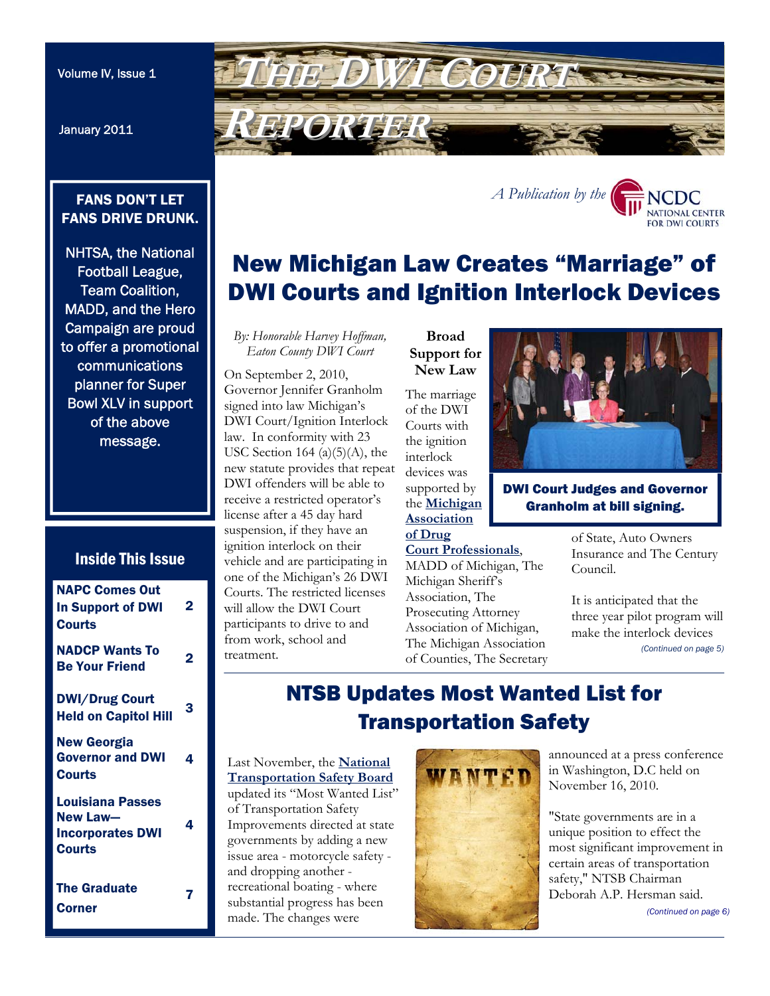January 2011

### FANS DON'T LET FANS DRIVE DRUNK.

NHTSA, the National Football League, Team Coalition, MADD, and the Hero Campaign are proud to offer a promotional communications planner for Super Bowl XLV in support of the above message.

### Inside This Issue

| <b>NAPC Comes Out</b><br><b>In Support of DWI</b><br><b>Courts</b>              | 2 |
|---------------------------------------------------------------------------------|---|
| <b>NADCP Wants To</b><br><b>Be Your Friend</b>                                  | 2 |
| <b>DWI/Drug Court</b><br><b>Held on Capitol Hill</b>                            | 3 |
| New Georgia<br><b>Governor and DWI</b><br>Courts                                | 4 |
| Louisiana Passes<br><b>New Law-</b><br><b>Incorporates DWI</b><br><b>Courts</b> | 4 |
| <b>The Graduate</b><br>Corner                                                   |   |

<span id="page-0-0"></span>

# New Michigan Law Creates "Marriage" of DWI Courts and Ignition Interlock Devices

*By: Honorable Harvey Hoffman, Eaton County DWI Court* 

On September 2, 2010, Governor Jennifer Granholm signed into law Michigan's DWI Court/Ignition Interlock law. In conformity with 23 USC Section 164 (a) $(5)(A)$ , the new statute provides that repeat devices was DWI offenders will be able to receive a restricted operator's license after a 45 day hard suspension, if they have an ignition interlock on their vehicle and are participating in one of the Michigan's 26 DWI Courts. The restricted licenses will allow the DWI Court participants to drive to and from work, school and treatment.

### **Broad Support for New Law**

The marriage of the DWI Courts with the ignition interlock supported by the **Michigan Association of Drug** 

### **[Court Professionals](http://madcp.dreamhosters.com/)**,

MADD of Michigan, The Michigan Sheriff's Association, The Prosecuting Attorney Association of Michigan, The Michigan Association of Counties, The Secretary



*[A Publication by the](http://www.dwicourts.org/ncdc-home/)* 

DWI Court Judges and Governor Granholm at bill signing.

> of State, Auto Owners Insurance and The Century Council.

**NATIONAL CENTER** FOR DWI COURTS

It is anticipated that the three year pilot program will make the interlock devices *[\(Continued on page 5\)](#page-4-0)* 

## NTSB Updates Most Wanted List for Transportation Safety

Last November, the **National [Transportation Safety Board](https://www.ntsb.gov/)**  updated its "Most Wanted List" of Transportation Safety Improvements directed at state governments by adding a new issue area - motorcycle safety and dropping another recreational boating - where substantial progress has been made. The changes were



announced at a press conference in Washington, D.C held on November 16, 2010.

"State governments are in a unique position to effect the most significant improvement in certain areas of transportation safety," NTSB Chairman Deborah A.P. Hersman said.

*[\(Continued on page 6\)](#page-5-0)*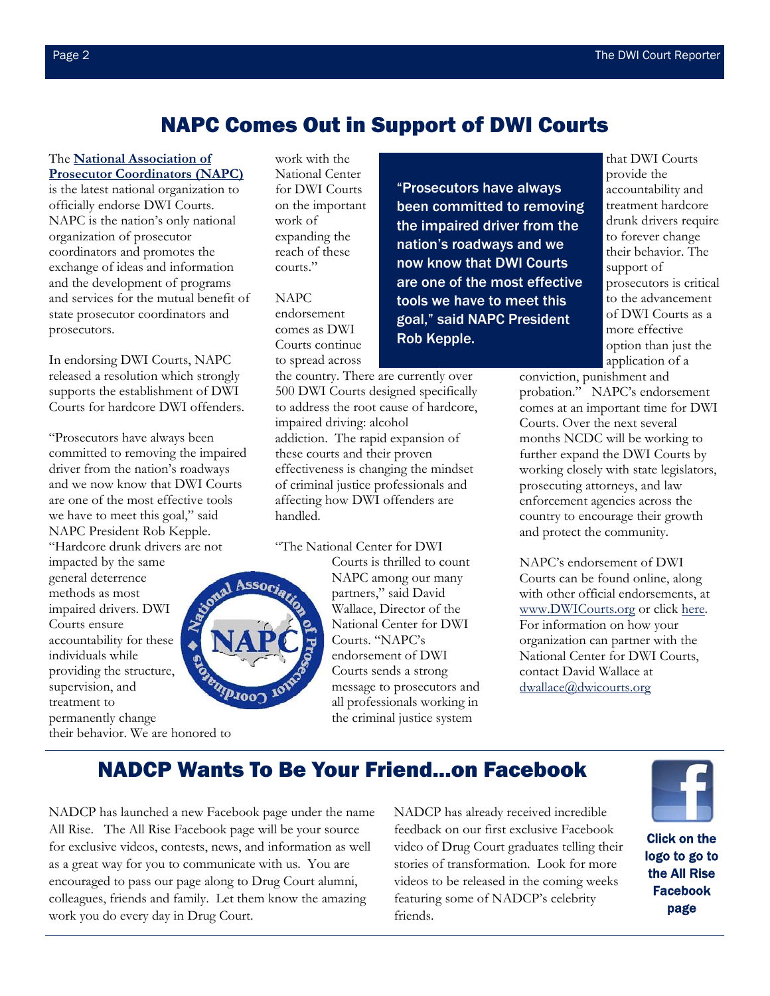### NAPC Comes Out in Support of DWI Courts

#### <span id="page-1-0"></span>The **National Association of [Prosecutor Coordinators \(NAPC\)](http://www.napcsite.org/)**

is the latest national organization to officially endorse DWI Courts. NAPC is the nation's only national organization of prosecutor coordinators and promotes the exchange of ideas and information and the development of programs and services for the mutual benefit of state prosecutor coordinators and prosecutors.

In endorsing DWI Courts, NAPC released a resolution which strongly supports the establishment of DWI Courts for hardcore DWI offenders.

"Prosecutors have always been committed to removing the impaired driver from the nation's roadways and we now know that DWI Courts are one of the most effective tools we have to meet this goal," said NAPC President Rob Kepple. "Hardcore drunk drivers are not

impacted by the same general deterrence methods as most impaired drivers. DWI Courts ensure accountability for these individuals while providing the structure, supervision, and treatment to permanently change their behavior. We are honored to work with the National Center for DWI Courts on the important work of expanding the reach of these courts."

NAPC endorsement comes as DWI Courts continue to spread across

the country. There are currently over 500 DWI Courts designed specifically to address the root cause of hardcore, impaired driving: alcohol addiction. The rapid expansion of these courts and their proven effectiveness is changing the mindset of criminal justice professionals and affecting how DWI offenders are handled.

["The Natio](http://www.napcsite.org/)nal Center for DWI

Courts is thrilled to count NAPC among our many partners," said David Wallace, Director of the National Center for DWI Courts. "NAPC's endorsement of DWI Courts sends a strong message to prosecutors and all professionals working in the criminal justice system

"Prosecutors have always been committed to removing the impaired driver from the nation's roadways and we now know that DWI Courts are one of the most effective tools we have to meet this goal," said NAPC President Rob Kepple.

that DWI Courts provide the accountability and treatment hardcore drunk drivers require to forever change their behavior. The support of prosecutors is critical to the advancement of DWI Courts as a more effective option than just the application of a

conviction, punishment and probation." NAPC's endorsement comes at an important time for DWI Courts. Over the next several months NCDC will be working to further expand the DWI Courts by working closely with state legislators, prosecuting attorneys, and law enforcement agencies across the country to encourage their growth and protect the community.

NAPC's endorsement of DWI Courts can be found online, along with other official endorsements, at [www.DWICourts.org o](http://www.dwicourts.org/ncdc-home/)r clic[k here.](http://www.dwicourts.org/learn/endorsements)  For information on how your organization can partner with the National Center for DWI Courts, contact David Wallace at dwallace@dwicourts.org

### NADCP Wants To Be Your Friend...on Facebook

NADCP has launched a new Facebook page under the name All Rise. The All Rise Facebook page will be your source for exclusive videos, contests, news, and information as well as a great way for you to communicate with us. You are encouraged to pass our page along to Drug Court alumni, colleagues, friends and family. Let them know the amazing work you do every day in Drug Court.

NADCP has already received incredible feedback on our first exclusive Facebook video of Drug Court graduates telling their stories of transformation. Look for more videos to be released in the coming weeks featuring some of NADCP's celebrity friends.





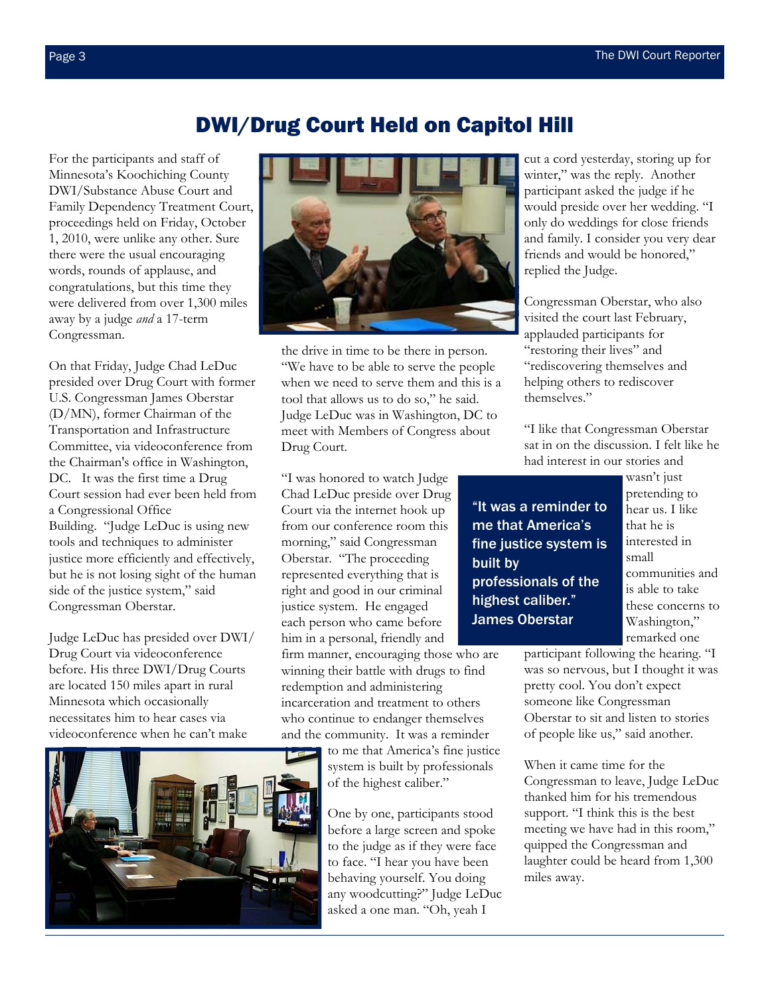### DWI/Drug Court Held on Capitol Hill

<span id="page-2-0"></span>For the participants and staff of Minnesota's Koochiching County DWI/Substance Abuse Court and Family Dependency Treatment Court, proceedings held on Friday, October 1, 2010, were unlike any other. Sure there were the usual encouraging words, rounds of applause, and congratulations, but this time they were delivered from over 1,300 miles away by a judge *and* a 17-term Congressman.

On that Friday, Judge Chad LeDuc presided over Drug Court with former U.S. Congressman James Oberstar (D/MN), former Chairman of the Transportation and Infrastructure Committee, via videoconference from the Chairman's office in Washington, DC. It was the first time a Drug Court session had ever been held from a Congressional Office Building. "Judge LeDuc is using new tools and techniques to administer justice more efficiently and effectively, but he is not losing sight of the human side of the justice system," said Congressman Oberstar.

Judge LeDuc has presided over DWI/ Drug Court via videoconference before. His three DWI/Drug Courts are located 150 miles apart in rural Minnesota which occasionally necessitates him to hear cases via videoconference when he can't make





the drive in time to be there in person. "We have to be able to serve the people when we need to serve them and this is a tool that allows us to do so," he said. Judge LeDuc was in Washington, DC to meet with Members of Congress about Drug Court.

"I was honored to watch Judge Chad LeDuc preside over Drug Court via the internet hook up from our conference room this morning," said Congressman Oberstar. "The proceeding represented everything that is right and good in our criminal justice system. He engaged each person who came before him in a personal, friendly and

firm manner, encouraging those who are winning their battle with drugs to find redemption and administering incarceration and treatment to others who continue to endanger themselves and the community. It was a reminder

to me that America's fine justice system is built by professionals of the highest caliber."

One by one, participants stood before a large screen and spoke to the judge as if they were face to face. "I hear you have been behaving yourself. You doing any woodcutting?" Judge LeDuc asked a one man. "Oh, yeah I

cut a cord yesterday, storing up for winter," was the reply. Another participant asked the judge if he would preside over her wedding. "I only do weddings for close friends and family. I consider you very dear friends and would be honored," replied the Judge.

Congressman Oberstar, who also visited the court last February, applauded participants for "restoring their lives" and "rediscovering themselves and helping others to rediscover themselves."

"I like that Congressman Oberstar sat in on the discussion. I felt like he had interest in our stories and

"It was a reminder to me that America's fine justice system is built by professionals of the highest caliber." James Oberstar

wasn't just pretending to hear us. I like that he is interested in small communities and is able to take these concerns to Washington." remarked one

participant following the hearing. "I was so nervous, but I thought it was pretty cool. You don't expect someone like Congressman Oberstar to sit and listen to stories of people like us," said another.

When it came time for the Congressman to leave, Judge LeDuc thanked him for his tremendous support. "I think this is the best meeting we have had in this room," quipped the Congressman and laughter could be heard from 1,300 miles away.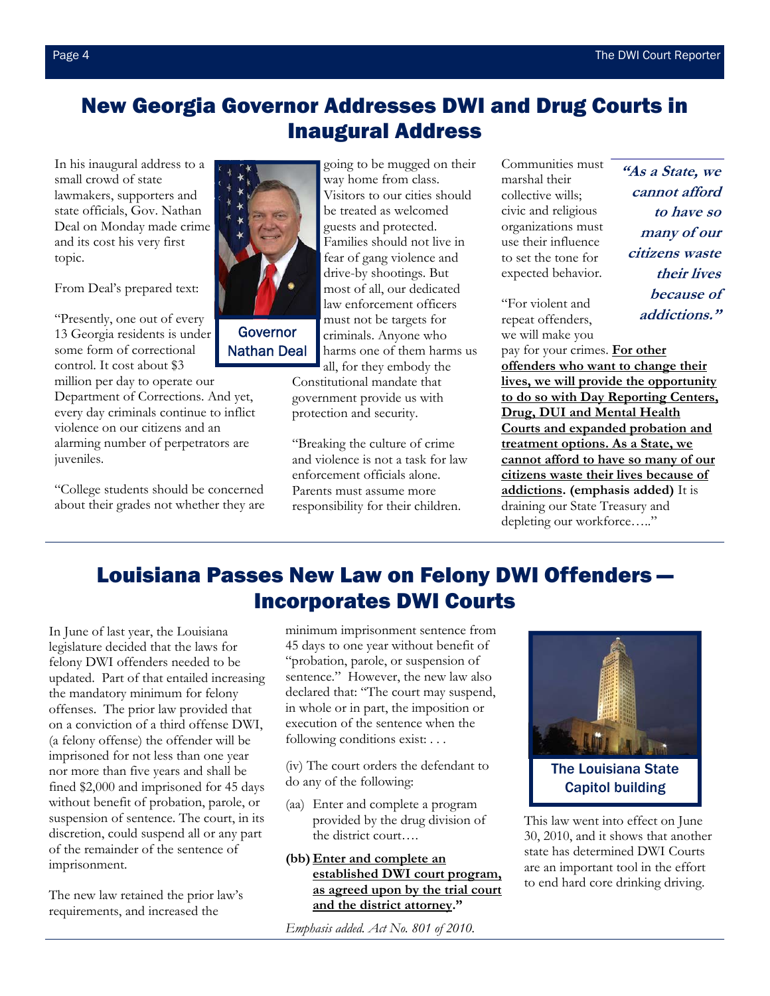### <span id="page-3-0"></span>New Georgia Governor Addresses DWI and Drug Courts in Inaugural Address

In his inaugural address to a small crowd of state lawmakers, supporters and state officials, Gov. Nathan Deal on Monday made crime and its cost his very first topic.

From Deal's prepared text:

"Presently, one out of every 13 Georgia residents is under some form of correctional control. It cost about \$3 million per day to operate our

Department of Corrections. And yet, every day criminals continue to inflict violence on our citizens and an alarming number of perpetrators are juveniles.

"College students should be concerned about their grades not whether they are



Nathan Deal

going to be mugged on their way home from class. Visitors to our cities should be treated as welcomed guests and protected. Families should not live in fear of gang violence and drive-by shootings. But most of all, our dedicated law enforcement officers must not be targets for criminals. Anyone who harms one of them harms us

all, for they embody the Constitutional mandate that government provide us with protection and security.

"Breaking the culture of crime and violence is not a task for law enforcement officials alone. Parents must assume more responsibility for their children.

Communities must marshal their collective wills; civic and religious organizations must use their influence to set the tone for expected behavior.

"For violent and repeat offenders, we will make you **"As a State, we cannot afford to have so many of our citizens waste their lives because of addictions."** 

pay for your crimes. **For other offenders who want to change their lives, we will provide the opportunity to do so with Day Reporting Centers, Drug, DUI and Mental Health Courts and expanded probation and treatment options. As a State, we cannot afford to have so many of our citizens waste their lives because of addictions. (emphasis added)** It is draining our State Treasury and depleting our workforce….."

## Louisiana Passes New Law on Felony DWI Offenders — Incorporates DWI Courts

In June of last year, the Louisiana legislature decided that the laws for felony DWI offenders needed to be updated. Part of that entailed increasing the mandatory minimum for felony offenses. The prior law provided that on a conviction of a third offense DWI, (a felony offense) the offender will be imprisoned for not less than one year nor more than five years and shall be fined \$2,000 and imprisoned for 45 days without benefit of probation, parole, or suspension of sentence. The court, in its discretion, could suspend all or any part of the remainder of the sentence of imprisonment.

The new law retained the prior law's requirements, and increased the

minimum imprisonment sentence from 45 days to one year without benefit of "probation, parole, or suspension of sentence." However, the new law also declared that: "The court may suspend, in whole or in part, the imposition or execution of the sentence when the following conditions exist: . . .

(iv) The court orders the defendant to do any of the following:

(aa) Enter and complete a program provided by the drug division of the district court….

#### **(bb) Enter and complete an established DWI court program, as agreed upon by the trial court and the district attorney."**

*Emphasis added. Act No. 801 of 2010.* 



The Louisiana State Capitol building

This law went into effect on June 30, 2010, and it shows that another state has determined DWI Courts are an important tool in the effort to end hard core drinking driving.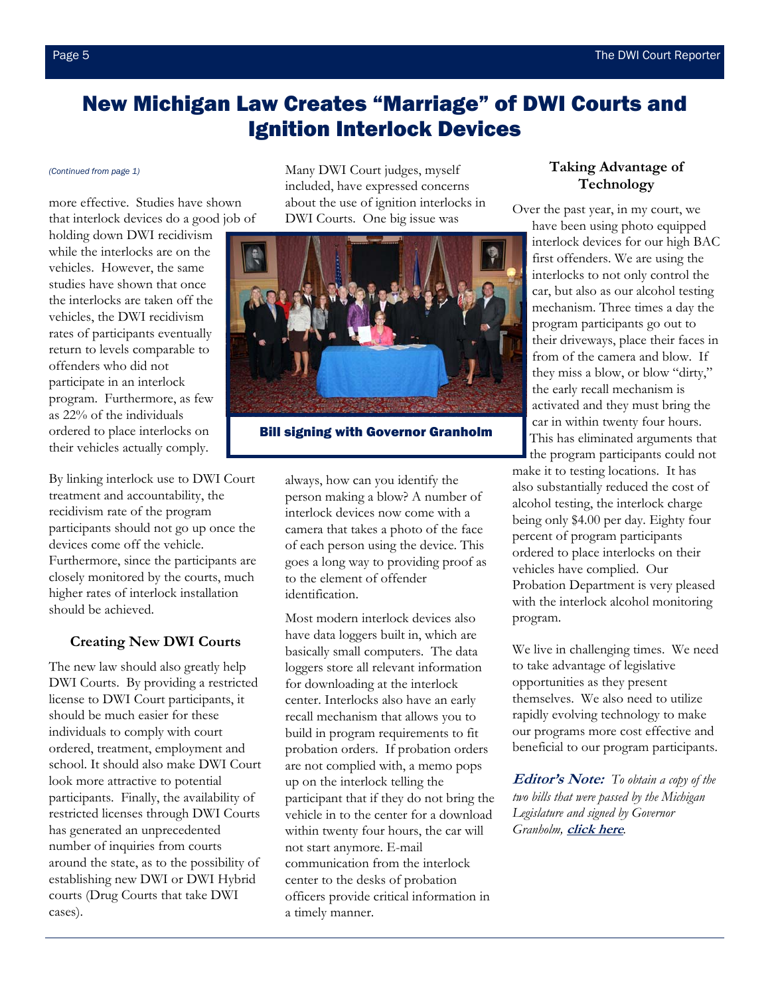### <span id="page-4-0"></span>New Michigan Law Creates "Marriage" of DWI Courts and Ignition Interlock Devices

#### *[\(Continued from page 1\)](#page-0-0)*

more effective. Studies have shown that interlock devices do a good job of

holding down DWI recidivism while the interlocks are on the vehicles. However, the same studies have shown that once the interlocks are taken off the vehicles, the DWI recidivism rates of participants eventually return to levels comparable to offenders who did not participate in an interlock program. Furthermore, as few as 22% of the individuals ordered to place interlocks on their vehicles actually comply.

By linking interlock use to DWI Court treatment and accountability, the recidivism rate of the program participants should not go up once the devices come off the vehicle. Furthermore, since the participants are closely monitored by the courts, much higher rates of interlock installation should be achieved.

#### **Creating New DWI Courts**

The new law should also greatly help DWI Courts. By providing a restricted license to DWI Court participants, it should be much easier for these individuals to comply with court ordered, treatment, employment and school. It should also make DWI Court look more attractive to potential participants. Finally, the availability of restricted licenses through DWI Courts has generated an unprecedented number of inquiries from courts around the state, as to the possibility of establishing new DWI or DWI Hybrid courts (Drug Courts that take DWI cases).

Many DWI Court judges, myself included, have expressed concerns about the use of ignition interlocks in DWI Courts. One big issue was



Bill signing with Governor Granholm

always, how can you identify the person making a blow? A number of interlock devices now come with a camera that takes a photo of the face of each person using the device. This goes a long way to providing proof as to the element of offender identification.

Most modern interlock devices also have data loggers built in, which are basically small computers. The data loggers store all relevant information for downloading at the interlock center. Interlocks also have an early recall mechanism that allows you to build in program requirements to fit probation orders. If probation orders are not complied with, a memo pops up on the interlock telling the participant that if they do not bring the vehicle in to the center for a download within twenty four hours, the car will not start anymore. E-mail communication from the interlock center to the desks of probation officers provide critical information in a timely manner.

#### **Taking Advantage of Technology**

Over the past year, in my court, we have been using photo equipped interlock devices for our high BAC first offenders. We are using the interlocks to not only control the car, but also as our alcohol testing mechanism. Three times a day the program participants go out to their driveways, place their faces in from of the camera and blow. If they miss a blow, or blow "dirty," the early recall mechanism is activated and they must bring the car in within twenty four hours. This has eliminated arguments that the program participants could not

make it to testing locations. It has also substantially reduced the cost of alcohol testing, the interlock charge being only \$4.00 per day. Eighty four percent of program participants ordered to place interlocks on their vehicles have complied. Our Probation Department is very pleased with the interlock alcohol monitoring program.

We live in challenging times. We need to take advantage of legislative opportunities as they present themselves. We also need to utilize rapidly evolving technology to make our programs more cost effective and beneficial to our program participants.

**Editor's Note:** *To obtain a copy of the two bills that were passed by the Michigan Legislatu[re and signed by Go](http://www.legislature.mi.gov/(S(scfhoc55htz2oibc4hc0cjz0))/mileg.aspx?page=getobject&objectname=2009-HB-5273&query=on)vernor Granholm,* **click here***.*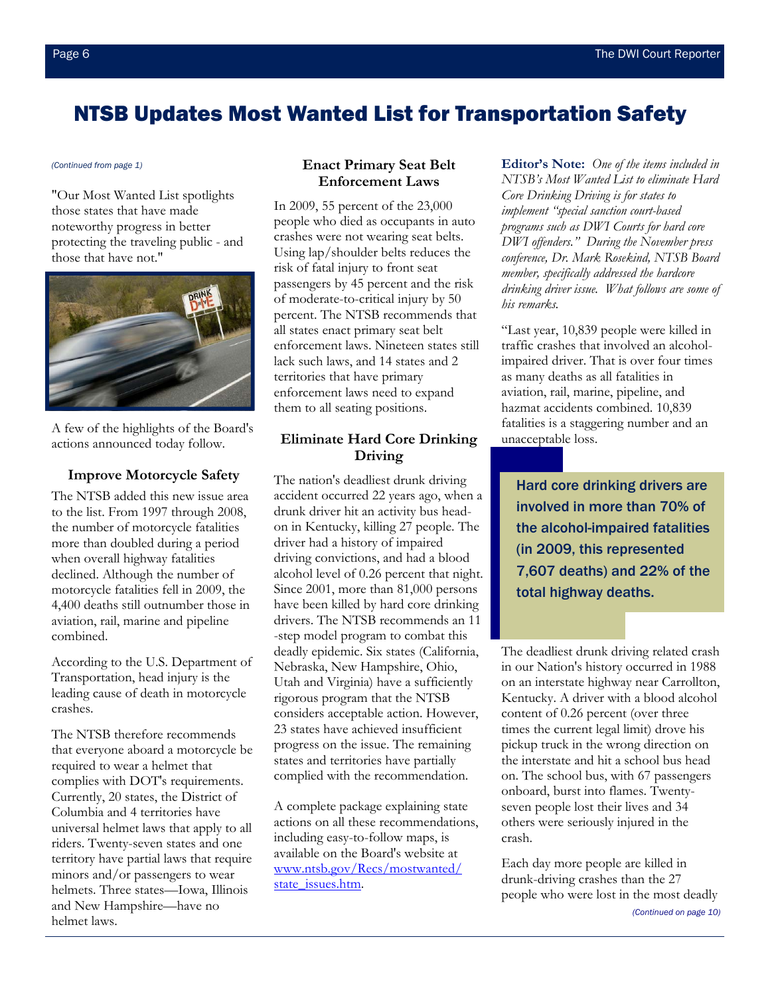### <span id="page-5-0"></span>NTSB Updates Most Wanted List for Transportation Safety

"Our Most Wanted List spotlights those states that have made noteworthy progress in better protecting the traveling public - and those that have not."



A few of the highlights of the Board's actions announced today follow.

#### **Improve Motorcycle Safety**

The NTSB added this new issue area to the list. From 1997 through 2008, the number of motorcycle fatalities more than doubled during a period when overall highway fatalities declined. Although the number of motorcycle fatalities fell in 2009, the 4,400 deaths still outnumber those in aviation, rail, marine and pipeline combined.

According to the U.S. Department of Transportation, head injury is the leading cause of death in motorcycle crashes.

The NTSB therefore recommends that everyone aboard a motorcycle be required to wear a helmet that complies with DOT's requirements. Currently, 20 states, the District of Columbia and 4 territories have universal helmet laws that apply to all riders. Twenty-seven states and one territory have partial laws that require minors and/or passengers to wear helmets. Three states—Iowa, Illinois and New Hampshire—have no helmet laws.

#### *[\(Continued from page 1\)](#page-0-0)* **Enact Primary Seat Belt Enforcement Laws**

In 2009, 55 percent of the 23,000 people who died as occupants in auto crashes were not wearing seat belts. Using lap/shoulder belts reduces the risk of fatal injury to front seat passengers by 45 percent and the risk of moderate-to-critical injury by 50 percent. The NTSB recommends that all states enact primary seat belt enforcement laws. Nineteen states still lack such laws, and 14 states and 2 territories that have primary enforcement laws need to expand them to all seating positions.

### **Eliminate Hard Core Drinking Driving**

The nation's deadliest drunk driving accident occurred 22 years ago, when a drunk driver hit an activity bus headon in Kentucky, killing 27 people. The driver had a history of impaired driving convictions, and had a blood alcohol level of 0.26 percent that night. Since 2001, more than 81,000 persons have been killed by hard core drinking drivers. The NTSB recommends an 11 -step model program to combat this deadly epidemic. Six states (California, Nebraska, New Hampshire, Ohio, Utah and Virginia) have a sufficiently rigorous program that the NTSB considers acceptable action. However, 23 states have achieved insufficient progress on the issue. The remaining states and territories have partially complied with the recommendation.

A complete package explaining state actions on all these recommendations, including easy-to-follow maps, is available on the Board's website at [www.ntsb.gov/Recs/mostwanted/](https://www.ntsb.gov/safety/mwl/Pages/default.aspx) state\_issues.htm.

**Editor's Note:** *One of the items included in NTSB's Most Wanted List to eliminate Hard Core Drinking Driving is for states to implement "special sanction court-based programs such as DWI Courts for hard core DWI offenders." During the November press conference, Dr. Mark Rosekind, NTSB Board member, specifically addressed the hardcore drinking driver issue. What follows are some of his remarks.* 

"Last year, 10,839 people were killed in traffic crashes that involved an alcoholimpaired driver. That is over four times as many deaths as all fatalities in aviation, rail, marine, pipeline, and hazmat accidents combined. 10,839 fatalities is a staggering number and an unacceptable loss.

Hard core drinking drivers are involved in more than 70% of the alcohol-impaired fatalities (in 2009, this represented 7,607 deaths) and 22% of the total highway deaths.

The deadliest drunk driving related crash in our Nation's history occurred in 1988 on an interstate highway near Carrollton, Kentucky. A driver with a blood alcohol content of 0.26 percent (over three times the current legal limit) drove his pickup truck in the wrong direction on the interstate and hit a school bus head on. The school bus, with 67 passengers onboard, burst into flames. Twentyseven people lost their lives and 34 others were seriously injured in the crash.

Each day more people are killed in drunk-driving crashes than the 27 people who were lost in the most deadly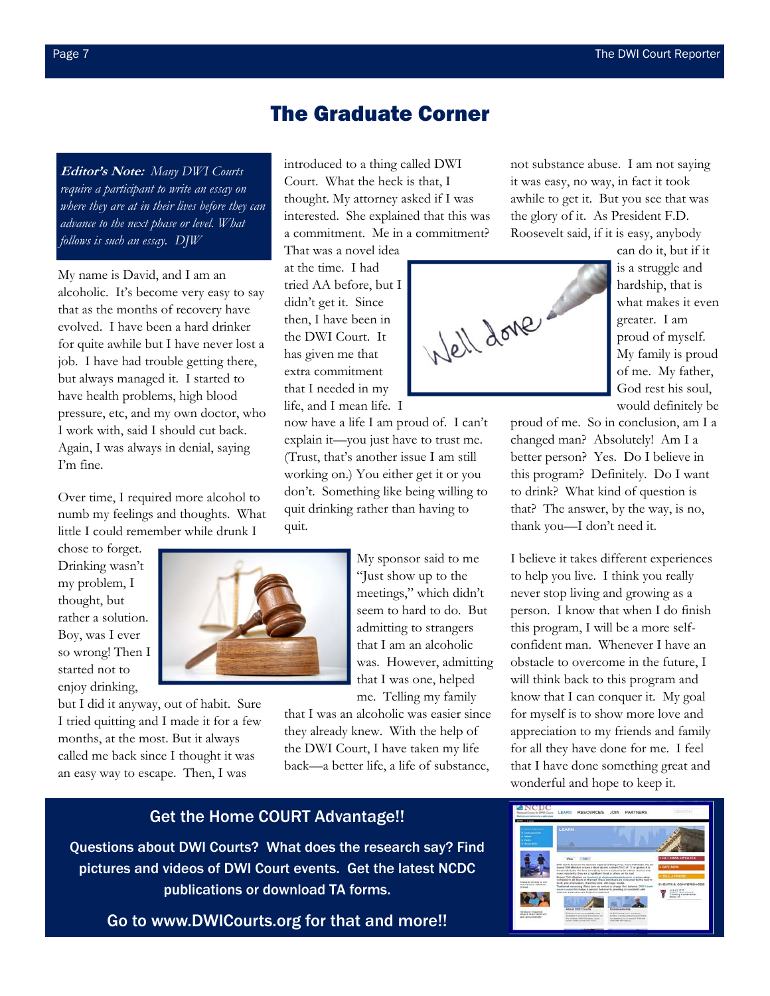### The Graduate Corner

<span id="page-6-0"></span>**Editor's Note:** *Many DWI Courts require a participant to write an essay on where they are at in their lives before they can advance to the next phase or level. What follows is such an essay. DJW* 

My name is David, and I am an alcoholic. It's become very easy to say that as the months of recovery have evolved. I have been a hard drinker for quite awhile but I have never lost a job. I have had trouble getting there, but always managed it. I started to have health problems, high blood pressure, etc, and my own doctor, who I work with, said I should cut back. Again, I was always in denial, saying I'm fine.

Over time, I required more alcohol to numb my feelings and thoughts. What little I could remember while drunk I

chose to forget. Drinking wasn't my problem, I thought, but rather a solution. Boy, was I ever so wrong! Then I started not to enjoy drinking,



but I did it anyway, out of habit. Sure I tried quitting and I made it for a few months, at the most. But it always called me back since I thought it was an easy way to escape. Then, I was

introduced to a thing called DWI Court. What the heck is that, I thought. My attorney asked if I was interested. She explained that this was a commitment. Me in a commitment?

That was a novel idea at the time. I had tried AA before, but I didn't get it. Since then, I have been in the DWI Court. It has given me that extra commitment that I needed in my life, and I mean life. I

now have a life I am proud of. I can't explain it—you just have to trust me. (Trust, that's another issue I am still working on.) You either get it or you don't. Something like being willing to quit drinking rather than having to quit.

> My sponsor said to me "Just show up to the meetings," which didn't seem to hard to do. But admitting to strangers that I am an alcoholic was. However, admitting that I was one, helped me. Telling my family

that I was an alcoholic was easier since they already knew. With the help of the DWI Court, I have taken my life back—a better life, a life of substance,

### Get the Home COURT Advantage!!

[Questions about DWI Courts? What does the research say? Find](http://www.dwicourts.org/ncdc-home/)  pictures and videos of DWI Court events. Get the latest NCDC publications or download TA forms.

Go to www.DWICourts.org for that and more!!

not substance abuse. I am not saying it was easy, no way, in fact it took awhile to get it. But you see that was the glory of it. As President F.D. Roosevelt said, if it is easy, anybody



can do it, but if it is a struggle and hardship, that is what makes it even greater. I am proud of myself. My family is proud of me. My father, God rest his soul, would definitely be

proud of me. So in conclusion, am I a changed man? Absolutely! Am I a better person? Yes. Do I believe in this program? Definitely. Do I want to drink? What kind of question is that? The answer, by the way, is no, thank you—I don't need it.

I believe it takes different experiences to help you live. I think you really never stop living and growing as a person. I know that when I do finish this program, I will be a more selfconfident man. Whenever I have an obstacle to overcome in the future, I will think back to this program and know that I can conquer it. My goal for myself is to show more love and appreciation to my friends and family for all they have done for me. I feel that I have done something great and wonderful and hope to keep it.

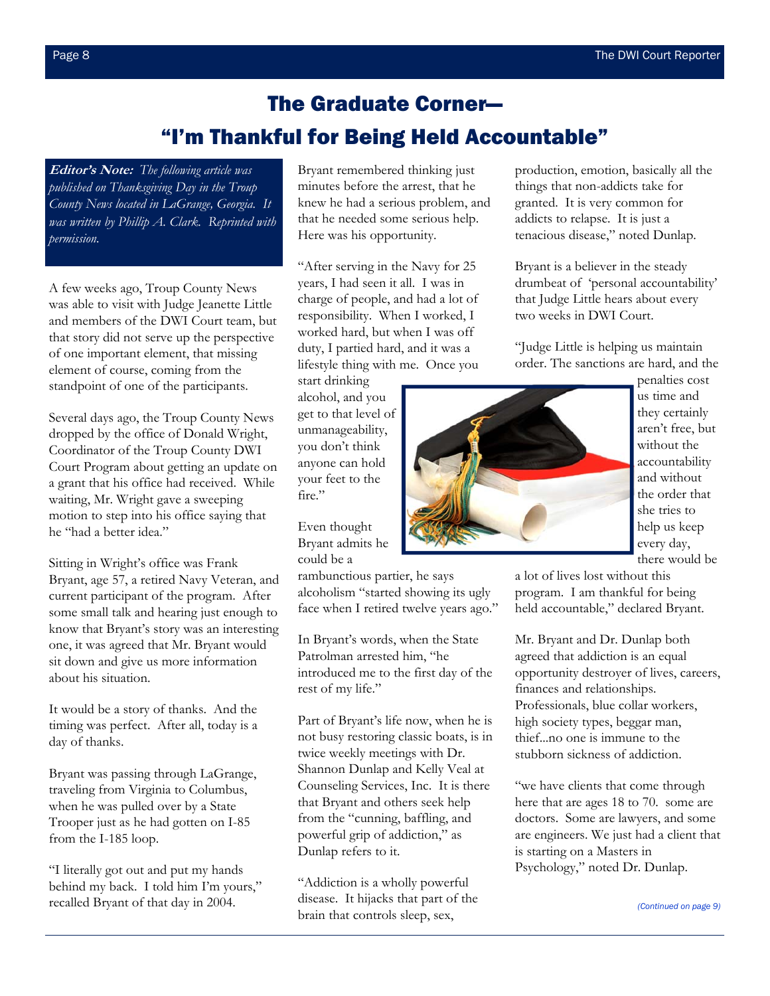# The Graduate Corner— "I'm Thankful for Being Held Accountable"

<span id="page-7-0"></span>**Editor's Note:** *The following article was published on Thanksgiving Day in the Troup County News located in LaGrange, Georgia. It was written by Phillip A. Clark. Reprinted with permission.* 

A few weeks ago, Troup County News was able to visit with Judge Jeanette Little and members of the DWI Court team, but that story did not serve up the perspective of one important element, that missing element of course, coming from the standpoint of one of the participants.

Several days ago, the Troup County News dropped by the office of Donald Wright, Coordinator of the Troup County DWI Court Program about getting an update on a grant that his office had received. While waiting, Mr. Wright gave a sweeping motion to step into his office saying that he "had a better idea."

Sitting in Wright's office was Frank Bryant, age 57, a retired Navy Veteran, and current participant of the program. After some small talk and hearing just enough to know that Bryant's story was an interesting one, it was agreed that Mr. Bryant would sit down and give us more information about his situation.

It would be a story of thanks. And the timing was perfect. After all, today is a day of thanks.

Bryant was passing through LaGrange, traveling from Virginia to Columbus, when he was pulled over by a State Trooper just as he had gotten on I-85 from the I-185 loop.

"I literally got out and put my hands behind my back. I told him I'm yours," recalled Bryant of that day in 2004.

Bryant remembered thinking just minutes before the arrest, that he knew he had a serious problem, and that he needed some serious help. Here was his opportunity.

"After serving in the Navy for 25 years, I had seen it all. I was in charge of people, and had a lot of responsibility. When I worked, I worked hard, but when I was off duty, I partied hard, and it was a lifestyle thing with me. Once you

start drinking alcohol, and you get to that level of unmanageability, you don't think anyone can hold your feet to the fire."

Even thought Bryant admits he could be a

rambunctious partier, he says alcoholism "started showing its ugly face when I retired twelve years ago."

In Bryant's words, when the State Patrolman arrested him, "he introduced me to the first day of the rest of my life."

Part of Bryant's life now, when he is not busy restoring classic boats, is in twice weekly meetings with Dr. Shannon Dunlap and Kelly Veal at Counseling Services, Inc. It is there that Bryant and others seek help from the "cunning, baffling, and powerful grip of addiction," as Dunlap refers to it.

"Addiction is a wholly powerful disease. It hijacks that part of the brain that controls sleep, sex,

production, emotion, basically all the things that non-addicts take for granted. It is very common for addicts to relapse. It is just a tenacious disease," noted Dunlap.

Bryant is a believer in the steady drumbeat of 'personal accountability' that Judge Little hears about every two weeks in DWI Court.

"Judge Little is helping us maintain order. The sanctions are hard, and the



penalties cost us time and they certainly aren't free, but without the accountability and without the order that she tries to help us keep every day, there would be

a lot of lives lost without this program. I am thankful for being held accountable," declared Bryant.

Mr. Bryant and Dr. Dunlap both agreed that addiction is an equal opportunity destroyer of lives, careers, finances and relationships. Professionals, blue collar workers, high society types, beggar man, thief...no one is immune to the stubborn sickness of addiction.

"we have clients that come through here that are ages 18 to 70. some are doctors. Some are lawyers, and some are engineers. We just had a client that is starting on a Masters in Psychology," noted Dr. Dunlap.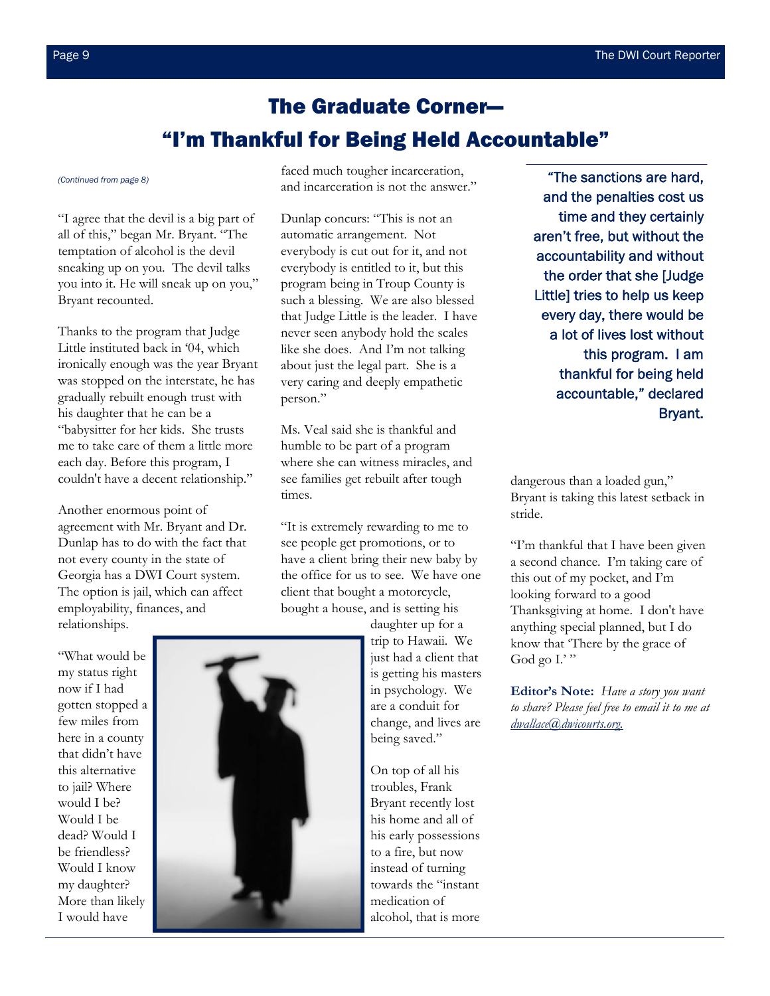# The Graduate Corner— "I'm Thankful for Being Held Accountable"

"I agree that the devil is a big part of all of this," began Mr. Bryant. "The temptation of alcohol is the devil sneaking up on you. The devil talks you into it. He will sneak up on you," Bryant recounted.

Thanks to the program that Judge Little instituted back in '04, which ironically enough was the year Bryant was stopped on the interstate, he has gradually rebuilt enough trust with his daughter that he can be a "babysitter for her kids. She trusts me to take care of them a little more each day. Before this program, I couldn't have a decent relationship."

Another enormous point of agreement with Mr. Bryant and Dr. Dunlap has to do with the fact that not every county in the state of Georgia has a DWI Court system. The option is jail, which can affect employability, finances, and relationships.

<span id="page-8-0"></span>*[\(Continued from page 8\)](#page-7-0)* faced much tougher incarceration, and incarceration is not the answer."

> Dunlap concurs: "This is not an automatic arrangement. Not everybody is cut out for it, and not everybody is entitled to it, but this program being in Troup County is such a blessing. We are also blessed that Judge Little is the leader. I have never seen anybody hold the scales like she does. And I'm not talking about just the legal part. She is a very caring and deeply empathetic person."

Ms. Veal said she is thankful and humble to be part of a program where she can witness miracles, and see families get rebuilt after tough times.

"It is extremely rewarding to me to see people get promotions, or to have a client bring their new baby by the office for us to see. We have one client that bought a motorcycle, bought a house, and is setting his

> daughter up for a trip to Hawaii. We just had a client that is getting his masters in psychology. We are a conduit for change, and lives are being saved."

> On top of all his troubles, Frank Bryant recently lost his home and all of his early possessions to a fire, but now instead of turning towards the "instant medication of alcohol, that is more

"The sanctions are hard, and the penalties cost us time and they certainly aren't free, but without the accountability and without the order that she [Judge Little] tries to help us keep every day, there would be a lot of lives lost without this program. I am thankful for being held accountable," declared Bryant.

dangerous than a loaded gun," Bryant is taking this latest setback in stride.

"I'm thankful that I have been given a second chance. I'm taking care of this out of my pocket, and I'm looking forward to a good Thanksgiving at home. I don't have anything special planned, but I do know that 'There by the grace of God go  $I$ ."

**Editor's Note:** *Have a story you want to share? Please feel free to email it to me at dwallace@dwicourts.org.* 

"What would be my status right now if I had gotten stopped a few miles from here in a county that didn't have this alternative to jail? Where would I be? Would I be dead? Would I be friendless? Would I know my daughter? More than likely I would have